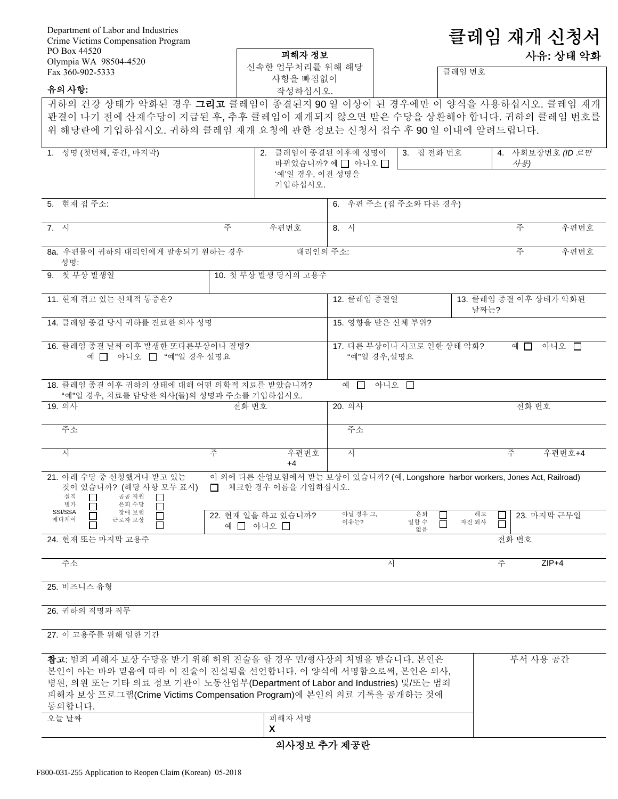| Department of Labor and Industries<br>Crime Victims Compensation Program                                                                                                                                                                                                          |                                                                                |                   |                            | 클레임 재개 신청서  |                       |      |
|-----------------------------------------------------------------------------------------------------------------------------------------------------------------------------------------------------------------------------------------------------------------------------------|--------------------------------------------------------------------------------|-------------------|----------------------------|-------------|-----------------------|------|
| PO Box 44520                                                                                                                                                                                                                                                                      | 피해자 정보                                                                         |                   |                            |             | 사유: 상태 악화             |      |
| Olympia WA 98504-4520<br>Fax 360-902-5333                                                                                                                                                                                                                                         | 신속한 업무처리를 위해 해당                                                                |                   |                            | 클레임 번호      |                       |      |
| 유의 사항:                                                                                                                                                                                                                                                                            | 사항을 빠짐없이<br>작성하십시오.                                                            |                   |                            |             |                       |      |
| 귀하의 건강 상태가 악화된 경우 <b>그리고</b> 클레임이 종결된지 90일 이상이 된 경우에만 이 양식을 사용하십시오. 클레임 재개                                                                                                                                                                                                        |                                                                                |                   |                            |             |                       |      |
| 판결이 나기 전에 산재수당이 지급된 후, 추후 클레임이 재개되지 않으면 받은 수당을 상환해야 합니다. 귀하의 클레임 번호를                                                                                                                                                                                                              |                                                                                |                   |                            |             |                       |      |
| 위 해당란에 기입하십시오. 귀하의 클레임 재개 요청에 관한 정보는 신청서 접수 후 90 일 이내에 알려드립니다.                                                                                                                                                                                                                    |                                                                                |                   |                            |             |                       |      |
| 1. 성명 (첫번째, 중간, 마지막)                                                                                                                                                                                                                                                              | 2. 클레임이 종결된 이후에 성명이                                                            |                   | 3. 집 전화 번호                 |             | 4. 사회보장번호 (ID 로만      |      |
|                                                                                                                                                                                                                                                                                   | '예'일 경우, 이전 성명을<br>기입하십시오.                                                     | 바뀌었습니까? 예□ 아니오□   |                            |             | 사용)                   |      |
| 5. 현재 집 주소:                                                                                                                                                                                                                                                                       |                                                                                |                   | 6. 우편 주소 (집 주소와 다른 경우)     |             |                       |      |
| 7. 시                                                                                                                                                                                                                                                                              | 주<br>우편번호                                                                      | 8. 시              |                            |             | 주                     | 우편번호 |
| 8a. 우편물이 귀하의 대리인에게 발송되기 원하는 경우<br>성명:                                                                                                                                                                                                                                             |                                                                                | 대리인의 주소:          |                            |             | 주                     | 우편번호 |
| 9. 첫 부상 발생일                                                                                                                                                                                                                                                                       | 10. 첫 부상 발생 당시의 고용주                                                            |                   |                            |             |                       |      |
| 11. 현재 겪고 있는 신체적 통증은?                                                                                                                                                                                                                                                             |                                                                                | 12. 클레임 종결일       |                            | 날짜는?        | 13. 클레임 종결 이후 상태가 악화된 |      |
| 14. 클레임 종결 당시 귀하를 진료한 의사 성명                                                                                                                                                                                                                                                       |                                                                                | 15. 영향을 받은 신체 부위? |                            |             |                       |      |
| 16. 클레임 종결 날짜 이후 발생한 또다른부상이나 질병?<br>예 □ 아니오 □ "예"일 경우 설명요                                                                                                                                                                                                                         |                                                                                | "예"일 경우,설명요       | 17. 다른 부상이나 사고로 인한 상태 악화?  |             | 아니오 □<br>예 口          |      |
| 18. 클레임 종결 이후 귀하의 상태에 대해 어떤 의학적 치료를 받았습니까?<br>"예"일 경우, 치료를 담당한 의사(들)의 성명과 주소를 기입하십시오.                                                                                                                                                                                             |                                                                                | 예 囗               | 아니오 □                      |             |                       |      |
| 19. 의사                                                                                                                                                                                                                                                                            | 전화 번호                                                                          | 20. 의사            |                            |             | 전화 번호                 |      |
| 주소                                                                                                                                                                                                                                                                                |                                                                                | 주소                |                            |             |                       |      |
| 주<br>시                                                                                                                                                                                                                                                                            | 우편번호<br>$+4$                                                                   | 시                 |                            |             | 주<br>우편번호+4           |      |
| 21. 아래 수당 중 신청했거나 받고 있는<br>것이 있습니까? (해당 사항 모두 표시) □ 체크한 경우 이름을 기입하십시오.<br>공공 지원<br>실직<br>병가<br>은퇴수당                                                                                                                                                                               | 이 외에 다른 산업보험에서 받는 보상이 있습니까? (예, Longshore harbor workers, Jones Act, Railroad) |                   |                            |             |                       |      |
| SSI/SSA<br>장애 보험<br>$\Box$<br>$\Box$<br>메디케어<br>근로자 보상<br>П<br>24. 현재 또는 마지막 고용주                                                                                                                                                                                                  | 22. 현재 일을 하고 있습니까?<br>예 □ 아니오 □                                                | 아닐 경우 그,<br>이유는?  | 은퇴<br>일할 수<br>$\Box$<br>없음 | 해고<br>자진 퇴사 | 23. 마지막 근무일<br>전화 번호  |      |
|                                                                                                                                                                                                                                                                                   |                                                                                |                   |                            |             |                       |      |
| 주소                                                                                                                                                                                                                                                                                |                                                                                |                   | 시                          | 주           | $ZIP+4$               |      |
| 25. 비즈니스 유형                                                                                                                                                                                                                                                                       |                                                                                |                   |                            |             |                       |      |
| 26. 귀하의 직명과 직무                                                                                                                                                                                                                                                                    |                                                                                |                   |                            |             |                       |      |
| 27. 이 고용주를 위해 일한 기간                                                                                                                                                                                                                                                               |                                                                                |                   |                            |             |                       |      |
| 참고: 범죄 피해자 보상 수당을 받기 위해 허위 진술을 할 경우 민/형사상의 처벌을 받습니다. 본인은<br>본인이 아는 바와 믿음에 따라 이 진술이 진실됨을 선언합니다. 이 양식에 서명함으로써, 본인은 의사,<br>병원, 의원 또는 기타 의료 정보 기관이 노동산업부(Department of Labor and Industries) 및/또는 범죄<br>피해자 보상 프로그램(Crime Victims Compensation Program)에 본인의 의료 기록을 공개하는 것에<br>동의합니다. |                                                                                |                   |                            |             | 부서 사용 공간              |      |
| 오늘 날짜                                                                                                                                                                                                                                                                             | 피해자 서명                                                                         |                   |                            |             |                       |      |
|                                                                                                                                                                                                                                                                                   | X                                                                              |                   |                            |             |                       |      |